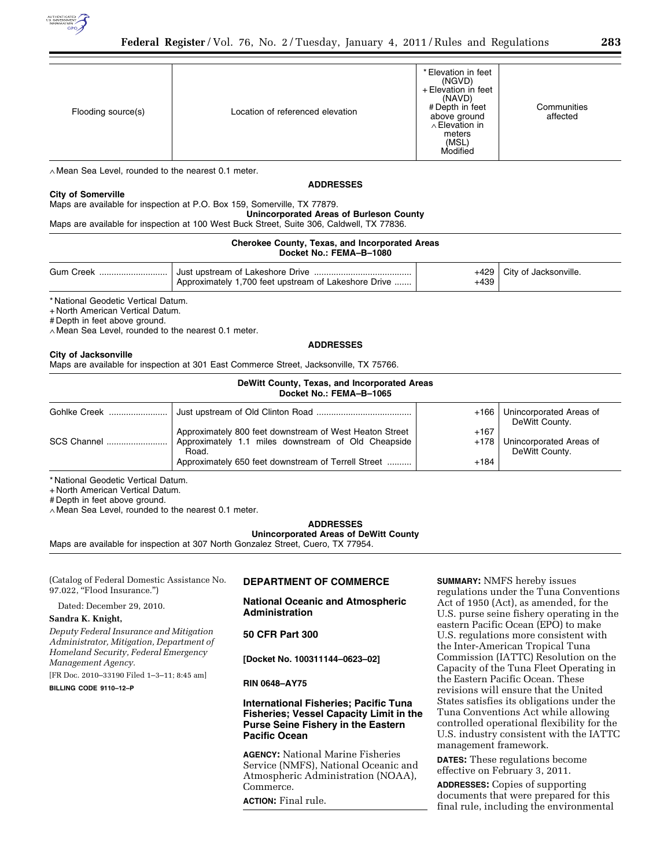

| Flooding source(s) | Location of referenced elevation | * Elevation in feet<br>(NGVD)<br>+ Elevation in feet<br>(NAVD)<br># Depth in feet<br>above ground<br>$\wedge$ Elevation in<br>meters<br>(MSL)<br>Modified | Communities<br>affected |
|--------------------|----------------------------------|-----------------------------------------------------------------------------------------------------------------------------------------------------------|-------------------------|

∧ Mean Sea Level, rounded to the nearest 0.1 meter.

#### **ADDRESSES**

#### **City of Somerville**

Maps are available for inspection at P.O. Box 159, Somerville, TX 77879.

**Unincorporated Areas of Burleson County** 

Maps are available for inspection at 100 West Buck Street, Suite 306, Caldwell, TX 77836.

#### **Cherokee County, Texas, and Incorporated Areas Docket No.: FEMA–B–1080**

| Gum Creek | Approximately 1,700 feet upstream of Lakeshore Drive | +439 | $+429$ City of Jacksonville. |
|-----------|------------------------------------------------------|------|------------------------------|

\* National Geodetic Vertical Datum.

+ North American Vertical Datum.

# Depth in feet above ground.

∧ Mean Sea Level, rounded to the nearest 0.1 meter.

# **ADDRESSES**

#### **City of Jacksonville**

Maps are available for inspection at 301 East Commerce Street, Jacksonville, TX 75766.

# **DeWitt County, Texas, and Incorporated Areas**

| Docket No.: FEMA-B-1065 |                                                                                                                                                                                |                  |                                                  |  |  |
|-------------------------|--------------------------------------------------------------------------------------------------------------------------------------------------------------------------------|------------------|--------------------------------------------------|--|--|
|                         |                                                                                                                                                                                | +166 l           | Unincorporated Areas of<br>DeWitt County.        |  |  |
| <b>SCS Channel </b>     | Approximately 800 feet downstream of West Heaton Street<br>Approximately 1.1 miles downstream of Old Cheapside<br>Road.<br>Approximately 650 feet downstream of Terrell Street | $+167$<br>$+184$ | +178   Unincorporated Areas of<br>DeWitt County. |  |  |

\* National Geodetic Vertical Datum.

+ North American Vertical Datum.

# Depth in feet above ground.

∧ Mean Sea Level, rounded to the nearest 0.1 meter.

# **ADDRESSES**

**Unincorporated Areas of DeWitt County** 

Maps are available for inspection at 307 North Gonzalez Street, Cuero, TX 77954.

(Catalog of Federal Domestic Assistance No. 97.022, "Flood Insurance.")

Dated: December 29, 2010.

# **Sandra K. Knight,**

*Deputy Federal Insurance and Mitigation Administrator, Mitigation, Department of Homeland Security, Federal Emergency Management Agency.* 

[FR Doc. 2010–33190 Filed 1–3–11; 8:45 am]

**BILLING CODE 9110–12–P** 

# **DEPARTMENT OF COMMERCE**

# **National Oceanic and Atmospheric Administration**

# **50 CFR Part 300**

**[Docket No. 100311144–0623–02]** 

# **RIN 0648–AY75**

# **International Fisheries; Pacific Tuna Fisheries; Vessel Capacity Limit in the Purse Seine Fishery in the Eastern Pacific Ocean**

**AGENCY:** National Marine Fisheries Service (NMFS), National Oceanic and Atmospheric Administration (NOAA), Commerce. **ACTION:** Final rule.

**SUMMARY:** NMFS hereby issues regulations under the Tuna Conventions Act of 1950 (Act), as amended, for the U.S. purse seine fishery operating in the eastern Pacific Ocean (EPO) to make U.S. regulations more consistent with the Inter-American Tropical Tuna Commission (IATTC) Resolution on the Capacity of the Tuna Fleet Operating in the Eastern Pacific Ocean. These revisions will ensure that the United States satisfies its obligations under the Tuna Conventions Act while allowing controlled operational flexibility for the U.S. industry consistent with the IATTC management framework.

**DATES:** These regulations become effective on February 3, 2011.

**ADDRESSES:** Copies of supporting documents that were prepared for this final rule, including the environmental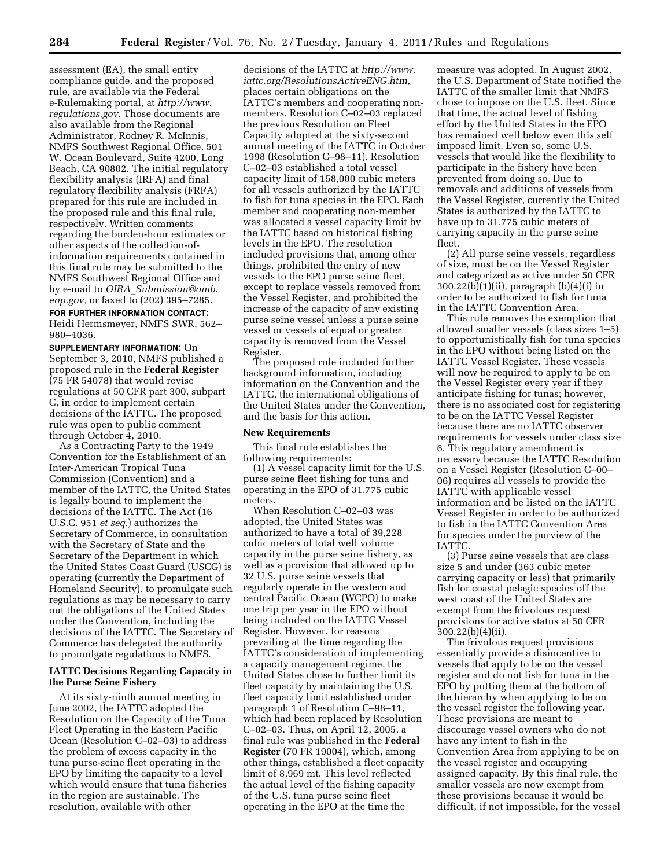assessment (EA), the small entity compliance guide, and the proposed rule, are available via the Federal e-Rulemaking portal, at *[http://www.](http://www.regulations.gov) [regulations.gov.](http://www.regulations.gov)* Those documents are also available from the Regional Administrator, Rodney R. McInnis, NMFS Southwest Regional Office, 501 W. Ocean Boulevard, Suite 4200, Long Beach, CA 90802. The initial regulatory flexibility analysis (IRFA) and final regulatory flexibility analysis (FRFA) prepared for this rule are included in the proposed rule and this final rule, respectively. Written comments regarding the burden-hour estimates or other aspects of the collection-ofinformation requirements contained in this final rule may be submitted to the NMFS Southwest Regional Office and by e-mail to *OIRA*\_*[Submission@omb.](mailto:OIRA_Submission@omb.eop.gov) [eop.gov,](mailto:OIRA_Submission@omb.eop.gov)* or faxed to (202) 395–7285.

# **FOR FURTHER INFORMATION CONTACT:**

Heidi Hermsmeyer, NMFS SWR, 562– 980–4036.

**SUPPLEMENTARY INFORMATION:** On September 3, 2010, NMFS published a proposed rule in the **Federal Register**  (75 FR 54078) that would revise regulations at 50 CFR part 300, subpart C, in order to implement certain decisions of the IATTC. The proposed rule was open to public comment through October 4, 2010.

As a Contracting Party to the 1949 Convention for the Establishment of an Inter-American Tropical Tuna Commission (Convention) and a member of the IATTC, the United States is legally bound to implement the decisions of the IATTC. The Act (16 U.S.C. 951 *et seq.*) authorizes the Secretary of Commerce, in consultation with the Secretary of State and the Secretary of the Department in which the United States Coast Guard (USCG) is operating (currently the Department of Homeland Security), to promulgate such regulations as may be necessary to carry out the obligations of the United States under the Convention, including the decisions of the IATTC. The Secretary of Commerce has delegated the authority to promulgate regulations to NMFS.

#### **IATTC Decisions Regarding Capacity in the Purse Seine Fishery**

At its sixty-ninth annual meeting in June 2002, the IATTC adopted the Resolution on the Capacity of the Tuna Fleet Operating in the Eastern Pacific Ocean (Resolution C–02–03) to address the problem of excess capacity in the tuna purse-seine fleet operating in the EPO by limiting the capacity to a level which would ensure that tuna fisheries in the region are sustainable. The resolution, available with other

decisions of the IATTC at *[http://www.](http://www.iattc.org/ResolutionsActiveENG.htm) [iattc.org/ResolutionsActiveENG.htm,](http://www.iattc.org/ResolutionsActiveENG.htm)*  places certain obligations on the IATTC's members and cooperating nonmembers. Resolution C–02–03 replaced the previous Resolution on Fleet Capacity adopted at the sixty-second annual meeting of the IATTC in October 1998 (Resolution C–98–11). Resolution C–02–03 established a total vessel capacity limit of 158,000 cubic meters for all vessels authorized by the IATTC to fish for tuna species in the EPO. Each member and cooperating non-member was allocated a vessel capacity limit by the IATTC based on historical fishing levels in the EPO. The resolution included provisions that, among other things, prohibited the entry of new vessels to the EPO purse seine fleet, except to replace vessels removed from the Vessel Register, and prohibited the increase of the capacity of any existing purse seine vessel unless a purse seine vessel or vessels of equal or greater capacity is removed from the Vessel Register.

The proposed rule included further background information, including information on the Convention and the IATTC, the international obligations of the United States under the Convention, and the basis for this action.

#### **New Requirements**

This final rule establishes the following requirements:

(1) A vessel capacity limit for the U.S. purse seine fleet fishing for tuna and operating in the EPO of 31,775 cubic meters.

When Resolution C–02–03 was adopted, the United States was authorized to have a total of 39,228 cubic meters of total well volume capacity in the purse seine fishery, as well as a provision that allowed up to 32 U.S. purse seine vessels that regularly operate in the western and central Pacific Ocean (WCPO) to make one trip per year in the EPO without being included on the IATTC Vessel Register. However, for reasons prevailing at the time regarding the IATTC's consideration of implementing a capacity management regime, the United States chose to further limit its fleet capacity by maintaining the U.S. fleet capacity limit established under paragraph 1 of Resolution C–98–11, which had been replaced by Resolution C–02–03. Thus, on April 12, 2005, a final rule was published in the **Federal Register** (70 FR 19004), which, among other things, established a fleet capacity limit of 8,969 mt. This level reflected the actual level of the fishing capacity of the U.S. tuna purse seine fleet operating in the EPO at the time the

measure was adopted. In August 2002, the U.S. Department of State notified the IATTC of the smaller limit that NMFS chose to impose on the U.S. fleet. Since that time, the actual level of fishing effort by the United States in the EPO has remained well below even this self imposed limit. Even so, some U.S. vessels that would like the flexibility to participate in the fishery have been prevented from doing so. Due to removals and additions of vessels from the Vessel Register, currently the United States is authorized by the IATTC to have up to 31,775 cubic meters of carrying capacity in the purse seine fleet.

(2) All purse seine vessels, regardless of size, must be on the Vessel Register and categorized as active under 50 CFR 300.22(b)(1)(ii), paragraph (b)(4)(i) in order to be authorized to fish for tuna in the IATTC Convention Area.

This rule removes the exemption that allowed smaller vessels (class sizes 1–5) to opportunistically fish for tuna species in the EPO without being listed on the IATTC Vessel Register. These vessels will now be required to apply to be on the Vessel Register every year if they anticipate fishing for tunas; however, there is no associated cost for registering to be on the IATTC Vessel Register because there are no IATTC observer requirements for vessels under class size 6. This regulatory amendment is necessary because the IATTC Resolution on a Vessel Register (Resolution C–00– 06) requires all vessels to provide the IATTC with applicable vessel information and be listed on the IATTC Vessel Register in order to be authorized to fish in the IATTC Convention Area for species under the purview of the IATTC.

(3) Purse seine vessels that are class size 5 and under (363 cubic meter carrying capacity or less) that primarily fish for coastal pelagic species off the west coast of the United States are exempt from the frivolous request provisions for active status at 50 CFR 300.22(b)(4)(ii).

The frivolous request provisions essentially provide a disincentive to vessels that apply to be on the vessel register and do not fish for tuna in the EPO by putting them at the bottom of the hierarchy when applying to be on the vessel register the following year. These provisions are meant to discourage vessel owners who do not have any intent to fish in the Convention Area from applying to be on the vessel register and occupying assigned capacity. By this final rule, the smaller vessels are now exempt from these provisions because it would be difficult, if not impossible, for the vessel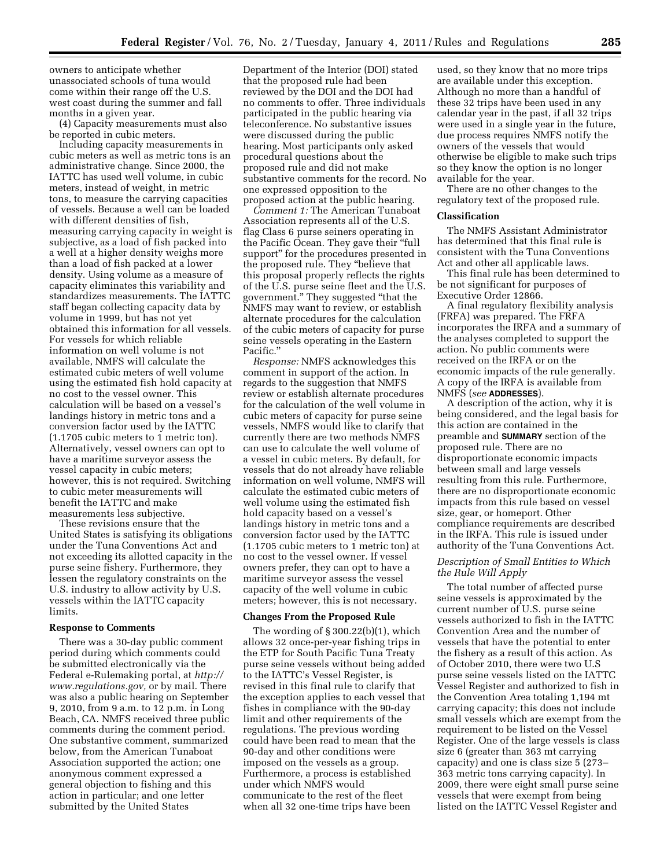owners to anticipate whether unassociated schools of tuna would come within their range off the U.S. west coast during the summer and fall months in a given year.

(4) Capacity measurements must also be reported in cubic meters.

Including capacity measurements in cubic meters as well as metric tons is an administrative change. Since 2000, the IATTC has used well volume, in cubic meters, instead of weight, in metric tons, to measure the carrying capacities of vessels. Because a well can be loaded with different densities of fish, measuring carrying capacity in weight is subjective, as a load of fish packed into a well at a higher density weighs more than a load of fish packed at a lower density. Using volume as a measure of capacity eliminates this variability and standardizes measurements. The IATTC staff began collecting capacity data by volume in 1999, but has not yet obtained this information for all vessels. For vessels for which reliable information on well volume is not available, NMFS will calculate the estimated cubic meters of well volume using the estimated fish hold capacity at no cost to the vessel owner. This calculation will be based on a vessel's landings history in metric tons and a conversion factor used by the IATTC (1.1705 cubic meters to 1 metric ton). Alternatively, vessel owners can opt to have a maritime surveyor assess the vessel capacity in cubic meters; however, this is not required. Switching to cubic meter measurements will benefit the IATTC and make measurements less subjective.

These revisions ensure that the United States is satisfying its obligations under the Tuna Conventions Act and not exceeding its allotted capacity in the purse seine fishery. Furthermore, they lessen the regulatory constraints on the U.S. industry to allow activity by U.S. vessels within the IATTC capacity limits.

#### **Response to Comments**

There was a 30-day public comment period during which comments could be submitted electronically via the Federal e-Rulemaking portal, at *[http://](http://www.regulations.gov) [www.regulations.gov,](http://www.regulations.gov)* or by mail. There was also a public hearing on September 9, 2010, from 9 a.m. to 12 p.m. in Long Beach, CA. NMFS received three public comments during the comment period. One substantive comment, summarized below, from the American Tunaboat Association supported the action; one anonymous comment expressed a general objection to fishing and this action in particular; and one letter submitted by the United States

Department of the Interior (DOI) stated that the proposed rule had been reviewed by the DOI and the DOI had no comments to offer. Three individuals participated in the public hearing via teleconference. No substantive issues were discussed during the public hearing. Most participants only asked procedural questions about the proposed rule and did not make substantive comments for the record. No one expressed opposition to the proposed action at the public hearing.

*Comment 1:* The American Tunaboat Association represents all of the U.S. flag Class 6 purse seiners operating in the Pacific Ocean. They gave their ''full support'' for the procedures presented in the proposed rule. They ''believe that this proposal properly reflects the rights of the U.S. purse seine fleet and the U.S. government.'' They suggested ''that the NMFS may want to review, or establish alternate procedures for the calculation of the cubic meters of capacity for purse seine vessels operating in the Eastern Pacific.''

*Response:* NMFS acknowledges this comment in support of the action. In regards to the suggestion that NMFS review or establish alternate procedures for the calculation of the well volume in cubic meters of capacity for purse seine vessels, NMFS would like to clarify that currently there are two methods NMFS can use to calculate the well volume of a vessel in cubic meters. By default, for vessels that do not already have reliable information on well volume, NMFS will calculate the estimated cubic meters of well volume using the estimated fish hold capacity based on a vessel's landings history in metric tons and a conversion factor used by the IATTC (1.1705 cubic meters to 1 metric ton) at no cost to the vessel owner. If vessel owners prefer, they can opt to have a maritime surveyor assess the vessel capacity of the well volume in cubic meters; however, this is not necessary.

#### **Changes From the Proposed Rule**

The wording of  $\S 300.22(b)(1)$ , which allows 32 once-per-year fishing trips in the ETP for South Pacific Tuna Treaty purse seine vessels without being added to the IATTC's Vessel Register, is revised in this final rule to clarify that the exception applies to each vessel that fishes in compliance with the 90-day limit and other requirements of the regulations. The previous wording could have been read to mean that the 90-day and other conditions were imposed on the vessels as a group. Furthermore, a process is established under which NMFS would communicate to the rest of the fleet when all 32 one-time trips have been

used, so they know that no more trips are available under this exception. Although no more than a handful of these 32 trips have been used in any calendar year in the past, if all 32 trips were used in a single year in the future, due process requires NMFS notify the owners of the vessels that would otherwise be eligible to make such trips so they know the option is no longer available for the year.

There are no other changes to the regulatory text of the proposed rule.

#### **Classification**

The NMFS Assistant Administrator has determined that this final rule is consistent with the Tuna Conventions Act and other all applicable laws.

This final rule has been determined to be not significant for purposes of Executive Order 12866.

A final regulatory flexibility analysis (FRFA) was prepared. The FRFA incorporates the IRFA and a summary of the analyses completed to support the action. No public comments were received on the IRFA or on the economic impacts of the rule generally. A copy of the IRFA is available from NMFS (*see* **ADDRESSES**).

A description of the action, why it is being considered, and the legal basis for this action are contained in the preamble and **SUMMARY** section of the proposed rule. There are no disproportionate economic impacts between small and large vessels resulting from this rule. Furthermore, there are no disproportionate economic impacts from this rule based on vessel size, gear, or homeport. Other compliance requirements are described in the IRFA. This rule is issued under authority of the Tuna Conventions Act.

#### *Description of Small Entities to Which the Rule Will Apply*

The total number of affected purse seine vessels is approximated by the current number of U.S. purse seine vessels authorized to fish in the IATTC Convention Area and the number of vessels that have the potential to enter the fishery as a result of this action. As of October 2010, there were two U.S purse seine vessels listed on the IATTC Vessel Register and authorized to fish in the Convention Area totaling 1,194 mt carrying capacity; this does not include small vessels which are exempt from the requirement to be listed on the Vessel Register. One of the large vessels is class size 6 (greater than 363 mt carrying capacity) and one is class size 5 (273– 363 metric tons carrying capacity). In 2009, there were eight small purse seine vessels that were exempt from being listed on the IATTC Vessel Register and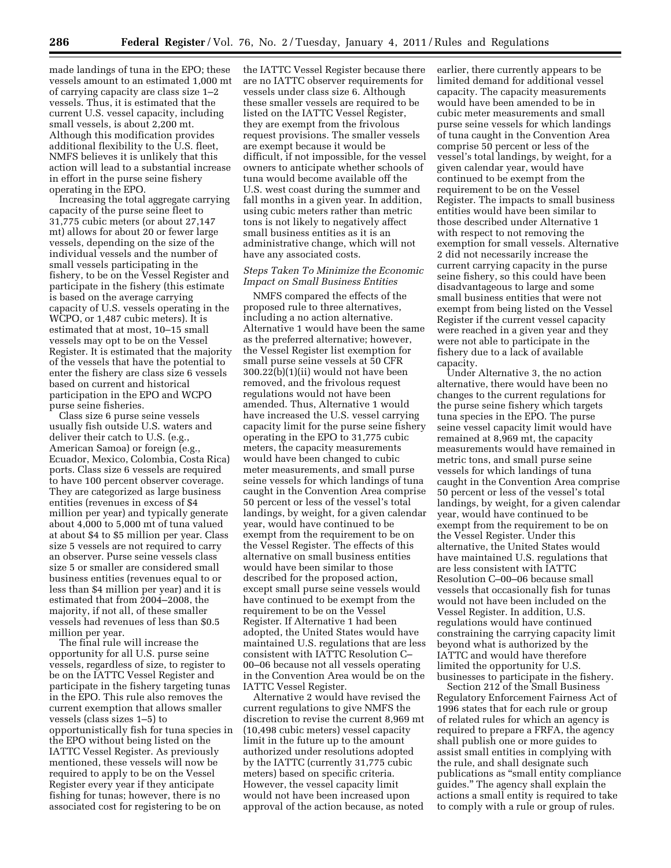made landings of tuna in the EPO; these vessels amount to an estimated 1,000 mt of carrying capacity are class size 1–2 vessels. Thus, it is estimated that the current U.S. vessel capacity, including small vessels, is about 2,200 mt. Although this modification provides additional flexibility to the U.S. fleet, NMFS believes it is unlikely that this action will lead to a substantial increase in effort in the purse seine fishery operating in the EPO.

Increasing the total aggregate carrying capacity of the purse seine fleet to 31,775 cubic meters (or about 27,147 mt) allows for about 20 or fewer large vessels, depending on the size of the individual vessels and the number of small vessels participating in the fishery, to be on the Vessel Register and participate in the fishery (this estimate is based on the average carrying capacity of U.S. vessels operating in the WCPO, or 1,487 cubic meters). It is estimated that at most, 10–15 small vessels may opt to be on the Vessel Register. It is estimated that the majority of the vessels that have the potential to enter the fishery are class size 6 vessels based on current and historical participation in the EPO and WCPO purse seine fisheries.

Class size 6 purse seine vessels usually fish outside U.S. waters and deliver their catch to U.S. (e.g., American Samoa) or foreign (e.g., Ecuador, Mexico, Colombia, Costa Rica) ports. Class size 6 vessels are required to have 100 percent observer coverage. They are categorized as large business entities (revenues in excess of \$4 million per year) and typically generate about 4,000 to 5,000 mt of tuna valued at about \$4 to \$5 million per year. Class size 5 vessels are not required to carry an observer. Purse seine vessels class size 5 or smaller are considered small business entities (revenues equal to or less than \$4 million per year) and it is estimated that from 2004–2008, the majority, if not all, of these smaller vessels had revenues of less than \$0.5 million per year.

The final rule will increase the opportunity for all U.S. purse seine vessels, regardless of size, to register to be on the IATTC Vessel Register and participate in the fishery targeting tunas in the EPO. This rule also removes the current exemption that allows smaller vessels (class sizes 1–5) to opportunistically fish for tuna species in the EPO without being listed on the IATTC Vessel Register. As previously mentioned, these vessels will now be required to apply to be on the Vessel Register every year if they anticipate fishing for tunas; however, there is no associated cost for registering to be on

the IATTC Vessel Register because there are no IATTC observer requirements for vessels under class size 6. Although these smaller vessels are required to be listed on the IATTC Vessel Register, they are exempt from the frivolous request provisions. The smaller vessels are exempt because it would be difficult, if not impossible, for the vessel owners to anticipate whether schools of tuna would become available off the U.S. west coast during the summer and fall months in a given year. In addition, using cubic meters rather than metric tons is not likely to negatively affect small business entities as it is an administrative change, which will not have any associated costs.

# *Steps Taken To Minimize the Economic Impact on Small Business Entities*

NMFS compared the effects of the proposed rule to three alternatives, including a no action alternative. Alternative 1 would have been the same as the preferred alternative; however, the Vessel Register list exemption for small purse seine vessels at 50 CFR 300.22(b)(1)(ii) would not have been removed, and the frivolous request regulations would not have been amended. Thus, Alternative 1 would have increased the U.S. vessel carrying capacity limit for the purse seine fishery operating in the EPO to 31,775 cubic meters, the capacity measurements would have been changed to cubic meter measurements, and small purse seine vessels for which landings of tuna caught in the Convention Area comprise 50 percent or less of the vessel's total landings, by weight, for a given calendar year, would have continued to be exempt from the requirement to be on the Vessel Register. The effects of this alternative on small business entities would have been similar to those described for the proposed action, except small purse seine vessels would have continued to be exempt from the requirement to be on the Vessel Register. If Alternative 1 had been adopted, the United States would have maintained U.S. regulations that are less consistent with IATTC Resolution C– 00–06 because not all vessels operating in the Convention Area would be on the IATTC Vessel Register.

Alternative 2 would have revised the current regulations to give NMFS the discretion to revise the current 8,969 mt (10,498 cubic meters) vessel capacity limit in the future up to the amount authorized under resolutions adopted by the IATTC (currently 31,775 cubic meters) based on specific criteria. However, the vessel capacity limit would not have been increased upon approval of the action because, as noted

earlier, there currently appears to be limited demand for additional vessel capacity. The capacity measurements would have been amended to be in cubic meter measurements and small purse seine vessels for which landings of tuna caught in the Convention Area comprise 50 percent or less of the vessel's total landings, by weight, for a given calendar year, would have continued to be exempt from the requirement to be on the Vessel Register. The impacts to small business entities would have been similar to those described under Alternative 1 with respect to not removing the exemption for small vessels. Alternative 2 did not necessarily increase the current carrying capacity in the purse seine fishery, so this could have been disadvantageous to large and some small business entities that were not exempt from being listed on the Vessel Register if the current vessel capacity were reached in a given year and they were not able to participate in the fishery due to a lack of available capacity.

Under Alternative 3, the no action alternative, there would have been no changes to the current regulations for the purse seine fishery which targets tuna species in the EPO. The purse seine vessel capacity limit would have remained at 8,969 mt, the capacity measurements would have remained in metric tons, and small purse seine vessels for which landings of tuna caught in the Convention Area comprise 50 percent or less of the vessel's total landings, by weight, for a given calendar year, would have continued to be exempt from the requirement to be on the Vessel Register. Under this alternative, the United States would have maintained U.S. regulations that are less consistent with IATTC Resolution C–00–06 because small vessels that occasionally fish for tunas would not have been included on the Vessel Register. In addition, U.S. regulations would have continued constraining the carrying capacity limit beyond what is authorized by the IATTC and would have therefore limited the opportunity for U.S. businesses to participate in the fishery.

Section 212 of the Small Business Regulatory Enforcement Fairness Act of 1996 states that for each rule or group of related rules for which an agency is required to prepare a FRFA, the agency shall publish one or more guides to assist small entities in complying with the rule, and shall designate such publications as ''small entity compliance guides.'' The agency shall explain the actions a small entity is required to take to comply with a rule or group of rules.